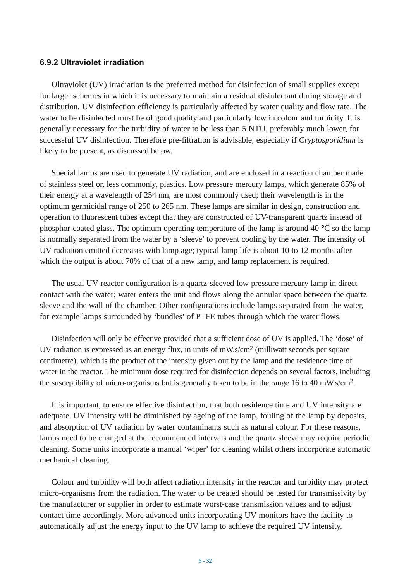## **6.9.2 Ultraviolet irradiation**

Ultraviolet (UV) irradiation is the preferred method for disinfection of small supplies except for larger schemes in which it is necessary to maintain a residual disinfectant during storage and distribution. UV disinfection efficiency is particularly affected by water quality and flow rate. The water to be disinfected must be of good quality and particularly low in colour and turbidity. It is generally necessary for the turbidity of water to be less than 5 NTU, preferably much lower, for successful UV disinfection. Therefore pre-filtration is advisable, especially if *Cryptosporidium* is likely to be present, as discussed below.

Special lamps are used to generate UV radiation, and are enclosed in a reaction chamber made of stainless steel or, less commonly, plastics. Low pressure mercury lamps, which generate 85% of their energy at a wavelength of 254 nm, are most commonly used; their wavelength is in the optimum germicidal range of 250 to 265 nm. These lamps are similar in design, construction and operation to fluorescent tubes except that they are constructed of UV-transparent quartz instead of phosphor-coated glass. The optimum operating temperature of the lamp is around 40  $\degree$ C so the lamp is normally separated from the water by a 'sleeve' to prevent cooling by the water. The intensity of UV radiation emitted decreases with lamp age; typical lamp life is about 10 to 12 months after which the output is about 70% of that of a new lamp, and lamp replacement is required.

The usual UV reactor configuration is a quartz-sleeved low pressure mercury lamp in direct contact with the water; water enters the unit and flows along the annular space between the quartz sleeve and the wall of the chamber. Other configurations include lamps separated from the water, for example lamps surrounded by 'bundles' of PTFE tubes through which the water flows.

Disinfection will only be effective provided that a sufficient dose of UV is applied. The 'dose' of UV radiation is expressed as an energy flux, in units of mW.s/cm2 (milliwatt seconds per square centimetre), which is the product of the intensity given out by the lamp and the residence time of water in the reactor. The minimum dose required for disinfection depends on several factors, including the susceptibility of micro-organisms but is generally taken to be in the range 16 to 40 mW.s/cm2.

It is important, to ensure effective disinfection, that both residence time and UV intensity are adequate. UV intensity will be diminished by ageing of the lamp, fouling of the lamp by deposits, and absorption of UV radiation by water contaminants such as natural colour. For these reasons, lamps need to be changed at the recommended intervals and the quartz sleeve may require periodic cleaning. Some units incorporate a manual 'wiper' for cleaning whilst others incorporate automatic mechanical cleaning.

Colour and turbidity will both affect radiation intensity in the reactor and turbidity may protect micro-organisms from the radiation. The water to be treated should be tested for transmissivity by the manufacturer or supplier in order to estimate worst-case transmission values and to adjust contact time accordingly. More advanced units incorporating UV monitors have the facility to automatically adjust the energy input to the UV lamp to achieve the required UV intensity.